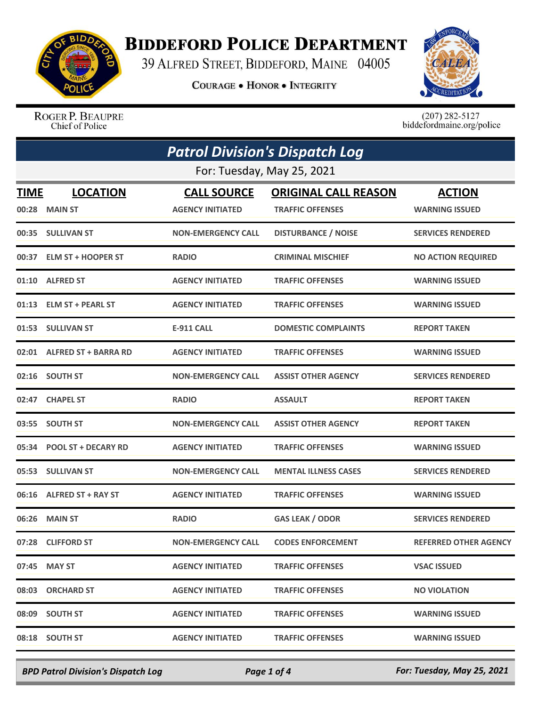

## **BIDDEFORD POLICE DEPARTMENT**

39 ALFRED STREET, BIDDEFORD, MAINE 04005

**COURAGE . HONOR . INTEGRITY** 



ROGER P. BEAUPRE Chief of Police

 $(207)$  282-5127<br>biddefordmaine.org/police

| <b>Patrol Division's Dispatch Log</b> |                                  |                                               |                                                        |                                        |  |  |
|---------------------------------------|----------------------------------|-----------------------------------------------|--------------------------------------------------------|----------------------------------------|--|--|
|                                       | For: Tuesday, May 25, 2021       |                                               |                                                        |                                        |  |  |
| TIME                                  | <b>LOCATION</b><br>00:28 MAIN ST | <b>CALL SOURCE</b><br><b>AGENCY INITIATED</b> | <b>ORIGINAL CALL REASON</b><br><b>TRAFFIC OFFENSES</b> | <b>ACTION</b><br><b>WARNING ISSUED</b> |  |  |
|                                       | 00:35 SULLIVAN ST                | <b>NON-EMERGENCY CALL</b>                     | <b>DISTURBANCE / NOISE</b>                             | <b>SERVICES RENDERED</b>               |  |  |
|                                       | 00:37 ELM ST + HOOPER ST         | <b>RADIO</b>                                  | <b>CRIMINAL MISCHIEF</b>                               | <b>NO ACTION REQUIRED</b>              |  |  |
|                                       | 01:10 ALFRED ST                  | <b>AGENCY INITIATED</b>                       | <b>TRAFFIC OFFENSES</b>                                | <b>WARNING ISSUED</b>                  |  |  |
|                                       | 01:13 ELM ST + PEARL ST          | <b>AGENCY INITIATED</b>                       | <b>TRAFFIC OFFENSES</b>                                | <b>WARNING ISSUED</b>                  |  |  |
|                                       | 01:53 SULLIVAN ST                | E-911 CALL                                    | <b>DOMESTIC COMPLAINTS</b>                             | <b>REPORT TAKEN</b>                    |  |  |
|                                       | 02:01 ALFRED ST + BARRA RD       | <b>AGENCY INITIATED</b>                       | <b>TRAFFIC OFFENSES</b>                                | <b>WARNING ISSUED</b>                  |  |  |
|                                       | 02:16 SOUTH ST                   | <b>NON-EMERGENCY CALL</b>                     | <b>ASSIST OTHER AGENCY</b>                             | <b>SERVICES RENDERED</b>               |  |  |
|                                       | 02:47 CHAPEL ST                  | <b>RADIO</b>                                  | <b>ASSAULT</b>                                         | <b>REPORT TAKEN</b>                    |  |  |
|                                       | 03:55 SOUTH ST                   | <b>NON-EMERGENCY CALL</b>                     | <b>ASSIST OTHER AGENCY</b>                             | <b>REPORT TAKEN</b>                    |  |  |
|                                       | 05:34 POOL ST + DECARY RD        | <b>AGENCY INITIATED</b>                       | <b>TRAFFIC OFFENSES</b>                                | <b>WARNING ISSUED</b>                  |  |  |
|                                       | 05:53 SULLIVAN ST                | <b>NON-EMERGENCY CALL</b>                     | <b>MENTAL ILLNESS CASES</b>                            | <b>SERVICES RENDERED</b>               |  |  |
|                                       | 06:16 ALFRED ST + RAY ST         | <b>AGENCY INITIATED</b>                       | <b>TRAFFIC OFFENSES</b>                                | <b>WARNING ISSUED</b>                  |  |  |
|                                       | 06:26 MAIN ST                    | <b>RADIO</b>                                  | <b>GAS LEAK / ODOR</b>                                 | <b>SERVICES RENDERED</b>               |  |  |
|                                       | 07:28 CLIFFORD ST                | <b>NON-EMERGENCY CALL</b>                     | <b>CODES ENFORCEMENT</b>                               | <b>REFERRED OTHER AGENCY</b>           |  |  |
|                                       | 07:45 MAY ST                     | <b>AGENCY INITIATED</b>                       | <b>TRAFFIC OFFENSES</b>                                | <b>VSAC ISSUED</b>                     |  |  |
|                                       | 08:03 ORCHARD ST                 | <b>AGENCY INITIATED</b>                       | <b>TRAFFIC OFFENSES</b>                                | <b>NO VIOLATION</b>                    |  |  |
|                                       | 08:09 SOUTH ST                   | <b>AGENCY INITIATED</b>                       | <b>TRAFFIC OFFENSES</b>                                | <b>WARNING ISSUED</b>                  |  |  |
|                                       | 08:18 SOUTH ST                   | <b>AGENCY INITIATED</b>                       | <b>TRAFFIC OFFENSES</b>                                | <b>WARNING ISSUED</b>                  |  |  |

*BPD Patrol Division's Dispatch Log Page 1 of 4 For: Tuesday, May 25, 2021*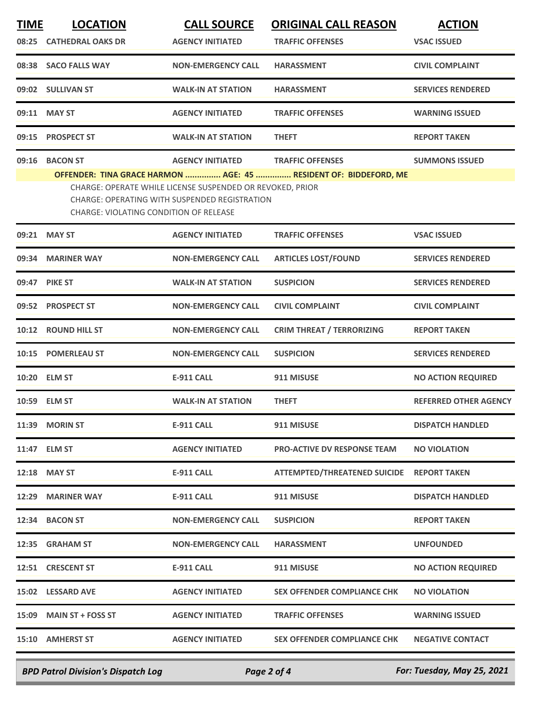| <b>TIME</b> | <b>LOCATION</b>                        | <b>CALL SOURCE</b>                                                                                         | <b>ORIGINAL CALL REASON</b>                                      | <b>ACTION</b>                |
|-------------|----------------------------------------|------------------------------------------------------------------------------------------------------------|------------------------------------------------------------------|------------------------------|
| 08:25       | <b>CATHEDRAL OAKS DR</b>               | <b>AGENCY INITIATED</b>                                                                                    | <b>TRAFFIC OFFENSES</b>                                          | <b>VSAC ISSUED</b>           |
|             | 08:38 SACO FALLS WAY                   | <b>NON-EMERGENCY CALL</b>                                                                                  | <b>HARASSMENT</b>                                                | <b>CIVIL COMPLAINT</b>       |
|             | 09:02 SULLIVAN ST                      | <b>WALK-IN AT STATION</b>                                                                                  | <b>HARASSMENT</b>                                                | <b>SERVICES RENDERED</b>     |
|             | 09:11 MAY ST                           | <b>AGENCY INITIATED</b>                                                                                    | <b>TRAFFIC OFFENSES</b>                                          | <b>WARNING ISSUED</b>        |
| 09:15       | <b>PROSPECT ST</b>                     | <b>WALK-IN AT STATION</b>                                                                                  | <b>THEFT</b>                                                     | <b>REPORT TAKEN</b>          |
| 09:16       | <b>BACON ST</b>                        | <b>AGENCY INITIATED</b>                                                                                    | <b>TRAFFIC OFFENSES</b>                                          | <b>SUMMONS ISSUED</b>        |
|             | CHARGE: VIOLATING CONDITION OF RELEASE | CHARGE: OPERATE WHILE LICENSE SUSPENDED OR REVOKED, PRIOR<br>CHARGE: OPERATING WITH SUSPENDED REGISTRATION | OFFENDER: TINA GRACE HARMON  AGE: 45  RESIDENT OF: BIDDEFORD, ME |                              |
|             | 09:21 MAY ST                           | <b>AGENCY INITIATED</b>                                                                                    | <b>TRAFFIC OFFENSES</b>                                          | <b>VSAC ISSUED</b>           |
|             | 09:34 MARINER WAY                      | <b>NON-EMERGENCY CALL</b>                                                                                  | <b>ARTICLES LOST/FOUND</b>                                       | <b>SERVICES RENDERED</b>     |
|             | 09:47 PIKE ST                          | <b>WALK-IN AT STATION</b>                                                                                  | <b>SUSPICION</b>                                                 | <b>SERVICES RENDERED</b>     |
| 09:52       | <b>PROSPECT ST</b>                     | <b>NON-EMERGENCY CALL</b>                                                                                  | <b>CIVIL COMPLAINT</b>                                           | <b>CIVIL COMPLAINT</b>       |
| 10:12       | <b>ROUND HILL ST</b>                   | <b>NON-EMERGENCY CALL</b>                                                                                  | <b>CRIM THREAT / TERRORIZING</b>                                 | <b>REPORT TAKEN</b>          |
|             | 10:15 POMERLEAU ST                     | <b>NON-EMERGENCY CALL</b>                                                                                  | <b>SUSPICION</b>                                                 | <b>SERVICES RENDERED</b>     |
|             | 10:20 ELM ST                           | <b>E-911 CALL</b>                                                                                          | 911 MISUSE                                                       | <b>NO ACTION REQUIRED</b>    |
|             | 10:59 ELM ST                           | <b>WALK-IN AT STATION</b>                                                                                  | <b>THEFT</b>                                                     | <b>REFERRED OTHER AGENCY</b> |
|             | 11:39 MORIN ST                         | <b>E-911 CALL</b>                                                                                          | 911 MISUSE                                                       | <b>DISPATCH HANDLED</b>      |
|             | 11:47 ELM ST                           | <b>AGENCY INITIATED</b>                                                                                    | <b>PRO-ACTIVE DV RESPONSE TEAM</b>                               | <b>NO VIOLATION</b>          |
|             | 12:18 MAY ST                           | <b>E-911 CALL</b>                                                                                          | <b>ATTEMPTED/THREATENED SUICIDE</b>                              | <b>REPORT TAKEN</b>          |
|             | 12:29 MARINER WAY                      | <b>E-911 CALL</b>                                                                                          | 911 MISUSE                                                       | <b>DISPATCH HANDLED</b>      |
|             | 12:34 BACON ST                         | <b>NON-EMERGENCY CALL</b>                                                                                  | <b>SUSPICION</b>                                                 | <b>REPORT TAKEN</b>          |
|             | 12:35 GRAHAM ST                        | <b>NON-EMERGENCY CALL</b>                                                                                  | <b>HARASSMENT</b>                                                | <b>UNFOUNDED</b>             |
|             | 12:51 CRESCENT ST                      | <b>E-911 CALL</b>                                                                                          | 911 MISUSE                                                       | <b>NO ACTION REQUIRED</b>    |
|             | 15:02 LESSARD AVE                      | <b>AGENCY INITIATED</b>                                                                                    | <b>SEX OFFENDER COMPLIANCE CHK</b>                               | <b>NO VIOLATION</b>          |
|             | 15:09 MAIN ST + FOSS ST                | <b>AGENCY INITIATED</b>                                                                                    | <b>TRAFFIC OFFENSES</b>                                          | <b>WARNING ISSUED</b>        |
|             | 15:10 AMHERST ST                       | <b>AGENCY INITIATED</b>                                                                                    | <b>SEX OFFENDER COMPLIANCE CHK</b>                               | <b>NEGATIVE CONTACT</b>      |
|             |                                        |                                                                                                            |                                                                  |                              |

*BPD Patrol Division's Dispatch Log Page 2 of 4 For: Tuesday, May 25, 2021*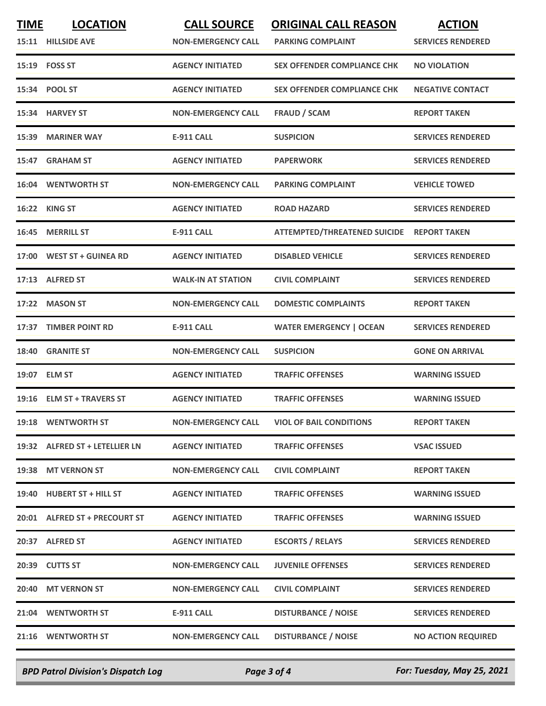| <b>TIME</b> | <b>LOCATION</b><br>15:11 HILLSIDE AVE | <b>CALL SOURCE</b><br><b>NON-EMERGENCY CALL</b> | <b>ORIGINAL CALL REASON</b><br><b>PARKING COMPLAINT</b> | <b>ACTION</b><br><b>SERVICES RENDERED</b> |
|-------------|---------------------------------------|-------------------------------------------------|---------------------------------------------------------|-------------------------------------------|
|             | 15:19    FOSS ST                      | <b>AGENCY INITIATED</b>                         | <b>SEX OFFENDER COMPLIANCE CHK</b>                      | <b>NO VIOLATION</b>                       |
|             | 15:34 POOL ST                         | <b>AGENCY INITIATED</b>                         | <b>SEX OFFENDER COMPLIANCE CHK</b>                      | <b>NEGATIVE CONTACT</b>                   |
| 15:34       | <b>HARVEY ST</b>                      | <b>NON-EMERGENCY CALL</b>                       | <b>FRAUD / SCAM</b>                                     | <b>REPORT TAKEN</b>                       |
|             | 15:39 MARINER WAY                     | <b>E-911 CALL</b>                               | <b>SUSPICION</b>                                        | <b>SERVICES RENDERED</b>                  |
| 15:47       | <b>GRAHAM ST</b>                      | <b>AGENCY INITIATED</b>                         | <b>PAPERWORK</b>                                        | <b>SERVICES RENDERED</b>                  |
|             | <b>16:04 WENTWORTH ST</b>             | <b>NON-EMERGENCY CALL</b>                       | <b>PARKING COMPLAINT</b>                                | <b>VEHICLE TOWED</b>                      |
| 16:22       | <b>KING ST</b>                        | <b>AGENCY INITIATED</b>                         | <b>ROAD HAZARD</b>                                      | <b>SERVICES RENDERED</b>                  |
|             | 16:45 MERRILL ST                      | <b>E-911 CALL</b>                               | ATTEMPTED/THREATENED SUICIDE REPORT TAKEN               |                                           |
|             | 17:00 WEST ST + GUINEA RD             | <b>AGENCY INITIATED</b>                         | <b>DISABLED VEHICLE</b>                                 | <b>SERVICES RENDERED</b>                  |
|             | 17:13 ALFRED ST                       | <b>WALK-IN AT STATION</b>                       | <b>CIVIL COMPLAINT</b>                                  | <b>SERVICES RENDERED</b>                  |
| 17:22       | <b>MASON ST</b>                       | <b>NON-EMERGENCY CALL</b>                       | <b>DOMESTIC COMPLAINTS</b>                              | <b>REPORT TAKEN</b>                       |
| 17:37       | <b>TIMBER POINT RD</b>                | <b>E-911 CALL</b>                               | <b>WATER EMERGENCY   OCEAN</b>                          | <b>SERVICES RENDERED</b>                  |
| 18:40       | <b>GRANITE ST</b>                     | <b>NON-EMERGENCY CALL</b>                       | <b>SUSPICION</b>                                        | <b>GONE ON ARRIVAL</b>                    |
|             | 19:07 ELM ST                          | <b>AGENCY INITIATED</b>                         | <b>TRAFFIC OFFENSES</b>                                 | <b>WARNING ISSUED</b>                     |
|             | 19:16 ELM ST + TRAVERS ST             | <b>AGENCY INITIATED</b>                         | <b>TRAFFIC OFFENSES</b>                                 | <b>WARNING ISSUED</b>                     |
|             | 19:18 WENTWORTH ST                    | <b>NON-EMERGENCY CALL</b>                       | <b>VIOL OF BAIL CONDITIONS</b>                          | <b>REPORT TAKEN</b>                       |
|             | 19:32 ALFRED ST + LETELLIER LN        | <b>AGENCY INITIATED</b>                         | <b>TRAFFIC OFFENSES</b>                                 | <b>VSAC ISSUED</b>                        |
|             | 19:38 MT VERNON ST                    | <b>NON-EMERGENCY CALL</b>                       | <b>CIVIL COMPLAINT</b>                                  | <b>REPORT TAKEN</b>                       |
|             | 19:40 HUBERT ST + HILL ST             | <b>AGENCY INITIATED</b>                         | <b>TRAFFIC OFFENSES</b>                                 | <b>WARNING ISSUED</b>                     |
|             | 20:01 ALFRED ST + PRECOURT ST         | <b>AGENCY INITIATED</b>                         | <b>TRAFFIC OFFENSES</b>                                 | <b>WARNING ISSUED</b>                     |
|             | 20:37 ALFRED ST                       | <b>AGENCY INITIATED</b>                         | <b>ESCORTS / RELAYS</b>                                 | <b>SERVICES RENDERED</b>                  |
|             | 20:39 CUTTS ST                        | <b>NON-EMERGENCY CALL</b>                       | <b>JUVENILE OFFENSES</b>                                | <b>SERVICES RENDERED</b>                  |
|             | 20:40 MT VERNON ST                    | <b>NON-EMERGENCY CALL</b>                       | <b>CIVIL COMPLAINT</b>                                  | <b>SERVICES RENDERED</b>                  |
|             | 21:04 WENTWORTH ST                    | <b>E-911 CALL</b>                               | <b>DISTURBANCE / NOISE</b>                              | <b>SERVICES RENDERED</b>                  |
|             | 21:16 WENTWORTH ST                    | <b>NON-EMERGENCY CALL</b>                       | <b>DISTURBANCE / NOISE</b>                              | <b>NO ACTION REQUIRED</b>                 |
|             |                                       |                                                 |                                                         |                                           |

*BPD Patrol Division's Dispatch Log Page 3 of 4 For: Tuesday, May 25, 2021*